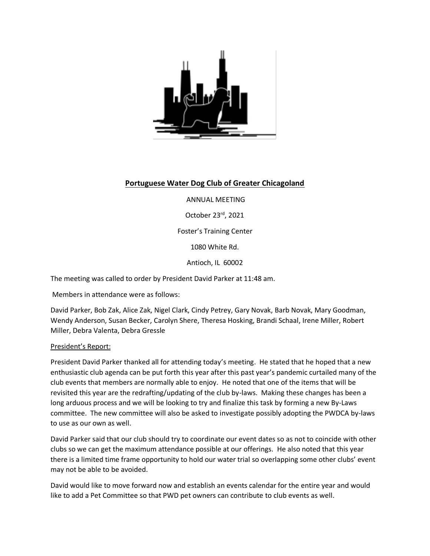

# **Portuguese Water Dog Club of Greater Chicagoland**

ANNUAL MEETING

October 23rd, 2021

Foster's Training Center

1080 White Rd.

Antioch, IL 60002

The meeting was called to order by President David Parker at 11:48 am.

Members in attendance were as follows:

David Parker, Bob Zak, Alice Zak, Nigel Clark, Cindy Petrey, Gary Novak, Barb Novak, Mary Goodman, Wendy Anderson, Susan Becker, Carolyn Shere, Theresa Hosking, Brandi Schaal, Irene Miller, Robert Miller, Debra Valenta, Debra Gressle

## President's Report:

President David Parker thanked all for attending today's meeting. He stated that he hoped that a new enthusiastic club agenda can be put forth this year after this past year's pandemic curtailed many of the club events that members are normally able to enjoy. He noted that one of the items that will be revisited this year are the redrafting/updating of the club by-laws. Making these changes has been a long arduous process and we will be looking to try and finalize this task by forming a new By-Laws committee. The new committee will also be asked to investigate possibly adopting the PWDCA by-laws to use as our own as well.

David Parker said that our club should try to coordinate our event dates so as not to coincide with other clubs so we can get the maximum attendance possible at our offerings. He also noted that this year there is a limited time frame opportunity to hold our water trial so overlapping some other clubs' event may not be able to be avoided.

David would like to move forward now and establish an events calendar for the entire year and would like to add a Pet Committee so that PWD pet owners can contribute to club events as well.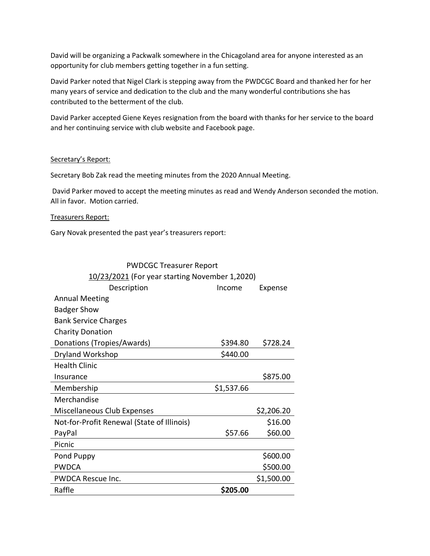David will be organizing a Packwalk somewhere in the Chicagoland area for anyone interested as an opportunity for club members getting together in a fun setting.

David Parker noted that Nigel Clark is stepping away from the PWDCGC Board and thanked her for her many years of service and dedication to the club and the many wonderful contributions she has contributed to the betterment of the club.

David Parker accepted Giene Keyes resignation from the board with thanks for her service to the board and her continuing service with club website and Facebook page.

#### Secretary's Report:

Secretary Bob Zak read the meeting minutes from the 2020 Annual Meeting.

David Parker moved to accept the meeting minutes as read and Wendy Anderson seconded the motion. All in favor. Motion carried.

Treasurers Report:

Gary Novak presented the past year's treasurers report:

#### PWDCGC Treasurer Report 10/23/2021 (For year starting November 1,2020)

| $10/20/2021$ (For your starting november 1,2020)<br>Description | Income     | Expense    |
|-----------------------------------------------------------------|------------|------------|
| <b>Annual Meeting</b>                                           |            |            |
| <b>Badger Show</b>                                              |            |            |
| <b>Bank Service Charges</b>                                     |            |            |
| <b>Charity Donation</b>                                         |            |            |
| Donations (Tropies/Awards)                                      | \$394.80   | \$728.24   |
| <b>Dryland Workshop</b>                                         | \$440.00   |            |
| <b>Health Clinic</b>                                            |            |            |
| Insurance                                                       |            | \$875.00   |
| Membership                                                      | \$1,537.66 |            |
| Merchandise                                                     |            |            |
| Miscellaneous Club Expenses                                     |            | \$2,206.20 |
| Not-for-Profit Renewal (State of Illinois)                      |            | \$16.00    |
| PayPal                                                          | \$57.66    | \$60.00    |
| Picnic                                                          |            |            |
| Pond Puppy                                                      |            | \$600.00   |
| <b>PWDCA</b>                                                    |            | \$500.00   |
| <b>PWDCA Rescue Inc.</b>                                        |            | \$1,500.00 |
| Raffle                                                          | \$205.00   |            |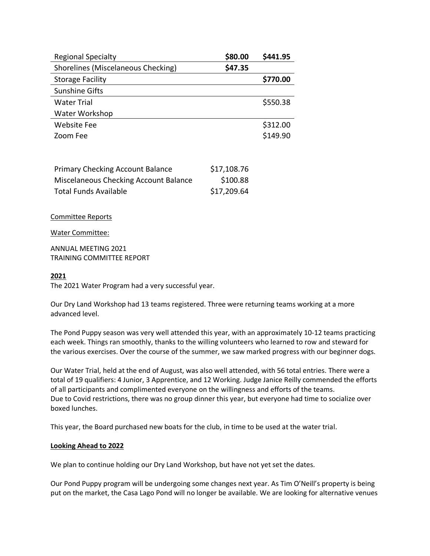| <b>Regional Specialty</b>          | \$80.00 | \$441.95 |
|------------------------------------|---------|----------|
| Shorelines (Miscelaneous Checking) | \$47.35 |          |
| <b>Storage Facility</b>            |         | \$770.00 |
| <b>Sunshine Gifts</b>              |         |          |
| <b>Water Trial</b>                 |         | \$550.38 |
| Water Workshop                     |         |          |
| <b>Website Fee</b>                 |         | \$312.00 |
| Zoom Fee                           |         | \$149.90 |

| <b>Primary Checking Account Balance</b> | \$17,108.76 |
|-----------------------------------------|-------------|
| Miscelaneous Checking Account Balance   | \$100.88    |
| <b>Total Funds Available</b>            | \$17,209.64 |

Committee Reports

Water Committee:

ANNUAL MEETING 2021 TRAINING COMMITTEE REPORT

# **2021**

The 2021 Water Program had a very successful year.

Our Dry Land Workshop had 13 teams registered. Three were returning teams working at a more advanced level.

The Pond Puppy season was very well attended this year, with an approximately 10-12 teams practicing each week. Things ran smoothly, thanks to the willing volunteers who learned to row and steward for the various exercises. Over the course of the summer, we saw marked progress with our beginner dogs.

Our Water Trial, held at the end of August, was also well attended, with 56 total entries. There were a total of 19 qualifiers: 4 Junior, 3 Apprentice, and 12 Working. Judge Janice Reilly commended the efforts of all participants and complimented everyone on the willingness and efforts of the teams. Due to Covid restrictions, there was no group dinner this year, but everyone had time to socialize over boxed lunches.

This year, the Board purchased new boats for the club, in time to be used at the water trial.

## **Looking Ahead to 2022**

We plan to continue holding our Dry Land Workshop, but have not yet set the dates.

Our Pond Puppy program will be undergoing some changes next year. As Tim O'Neill's property is being put on the market, the Casa Lago Pond will no longer be available. We are looking for alternative venues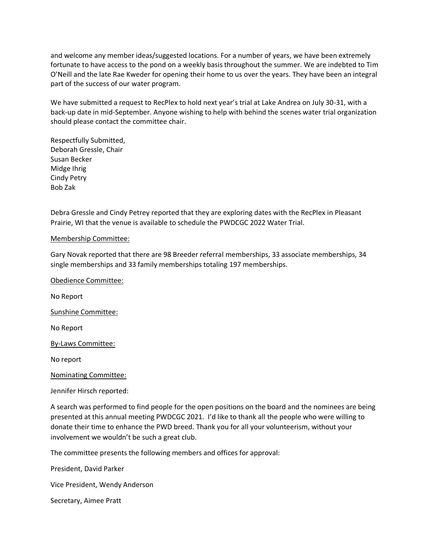and welcome any member ideas/suggested locations. For a number of years, we have been extremely fortunate to have access to the pond on a weekly basis throughout the summer. We are indebted to Tim O'Neill and the late Rae Kweder for opening their home to us over the years. They have been an integral part of the success of our water program.

We have submitted a request to RecPlex to hold next year's trial at Lake Andrea on July 30-31, with a back-up date in mid-September. Anyone wishing to help with behind the scenes water trial organization should please contact the committee chair.

Respectfully Submitted, Deborah Gressle, Chair Susan Becker Midge Ihrig Cindy Petry Bob Zak

Debra Gressle and Cindy Petrey reported that they are exploring dates with the RecPlex in Pleasant Prairie, WI that the venue is available to schedule the PWDCGC 2022 Water Trial.

#### Membership Committee:

Gary Novak reported that there are 98 Breeder referral memberships, 33 associate memberships, 34 single memberships and 33 family memberships totaling 197 memberships.

Obedience Committee:

No Report

Sunshine Committee:

No Report

By-Laws Committee:

No report

Nominating Committee:

Jennifer Hirsch reported:

A search was performed to find people for the open positions on the board and the nominees are being presented at this annual meeting PWDCGC 2021. I'd like to thank all the people who were willing to donate their time to enhance the PWD breed. Thank you for all your volunteerism, without your involvement we wouldn't be such a great club.

The committee presents the following members and offices for approval:

President, David Parker

Vice President, Wendy Anderson

Secretary, Aimee Pratt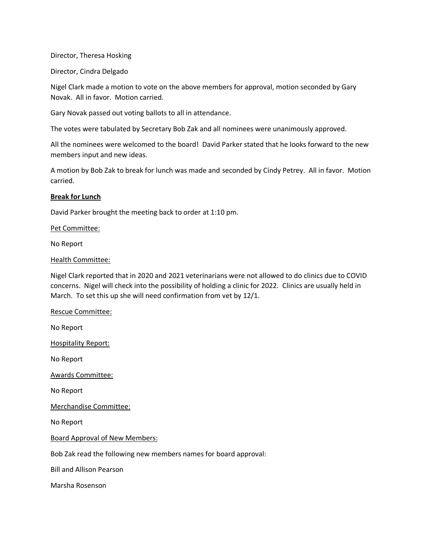Director, Theresa Hosking

Director, Cindra Delgado

Nigel Clark made a motion to vote on the above members for approval, motion seconded by Gary Novak. All in favor. Motion carried.

Gary Novak passed out voting ballots to all in attendance.

The votes were tabulated by Secretary Bob Zak and all nominees were unanimously approved.

All the nominees were welcomed to the board! David Parker stated that he looks forward to the new members input and new ideas.

A motion by Bob Zak to break for lunch was made and seconded by Cindy Petrey. All in favor. Motion carried.

#### **Break for Lunch**

David Parker brought the meeting back to order at 1:10 pm.

Pet Committee:

No Report

#### Health Committee:

Nigel Clark reported that in 2020 and 2021 veterinarians were not allowed to do clinics due to COVID concerns. Nigel will check into the possibility of holding a clinic for 2022. Clinics are usually held in March. To set this up she will need confirmation from vet by 12/1.

Rescue Committee:

No Report

Hospitality Report:

No Report

Awards Committee:

No Report

Merchandise Committee:

No Report

Board Approval of New Members:

Bob Zak read the following new members names for board approval:

Bill and Allison Pearson

Marsha Rosenson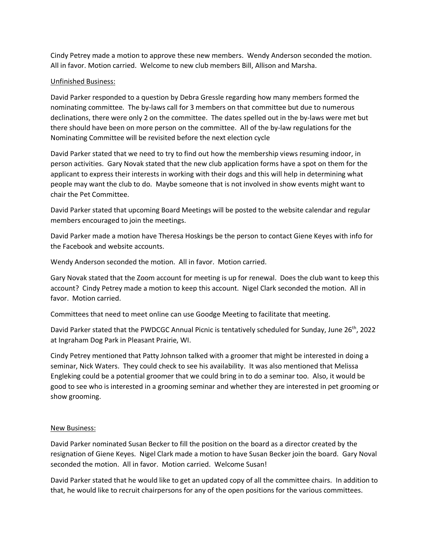Cindy Petrey made a motion to approve these new members. Wendy Anderson seconded the motion. All in favor. Motion carried. Welcome to new club members Bill, Allison and Marsha.

# Unfinished Business:

David Parker responded to a question by Debra Gressle regarding how many members formed the nominating committee. The by-laws call for 3 members on that committee but due to numerous declinations, there were only 2 on the committee. The dates spelled out in the by-laws were met but there should have been on more person on the committee. All of the by-law regulations for the Nominating Committee will be revisited before the next election cycle

David Parker stated that we need to try to find out how the membership views resuming indoor, in person activities. Gary Novak stated that the new club application forms have a spot on them for the applicant to express their interests in working with their dogs and this will help in determining what people may want the club to do. Maybe someone that is not involved in show events might want to chair the Pet Committee.

David Parker stated that upcoming Board Meetings will be posted to the website calendar and regular members encouraged to join the meetings.

David Parker made a motion have Theresa Hoskings be the person to contact Giene Keyes with info for the Facebook and website accounts.

Wendy Anderson seconded the motion. All in favor. Motion carried.

Gary Novak stated that the Zoom account for meeting is up for renewal. Does the club want to keep this account? Cindy Petrey made a motion to keep this account. Nigel Clark seconded the motion. All in favor. Motion carried.

Committees that need to meet online can use Goodge Meeting to facilitate that meeting.

David Parker stated that the PWDCGC Annual Picnic is tentatively scheduled for Sunday, June 26th, 2022 at Ingraham Dog Park in Pleasant Prairie, WI.

Cindy Petrey mentioned that Patty Johnson talked with a groomer that might be interested in doing a seminar, Nick Waters. They could check to see his availability. It was also mentioned that Melissa Engleking could be a potential groomer that we could bring in to do a seminar too. Also, it would be good to see who is interested in a grooming seminar and whether they are interested in pet grooming or show grooming.

## New Business:

David Parker nominated Susan Becker to fill the position on the board as a director created by the resignation of Giene Keyes. Nigel Clark made a motion to have Susan Becker join the board. Gary Noval seconded the motion. All in favor. Motion carried. Welcome Susan!

David Parker stated that he would like to get an updated copy of all the committee chairs. In addition to that, he would like to recruit chairpersons for any of the open positions for the various committees.